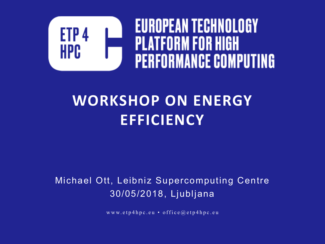

#### **WORKSHOP ON ENERGY EFFICIENCY**

#### Michael Ott, Leibniz Supercomputing Centre 30/05/2018, Ljubljana

www.etp4hpc.eu • office@etp4hpc.eu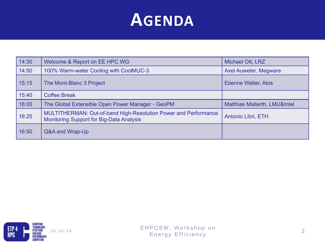#### **AGENDA**

| 14:30 | Welcome & Report on EE HPC WG                                                                                      | Michael Ott, LRZ                        |
|-------|--------------------------------------------------------------------------------------------------------------------|-----------------------------------------|
| 14:50 | 100% Warm-water Cooling with CoolMUC-3                                                                             | <b>Axel Auweter, Megware</b>            |
| 15:15 | The Mont-Blanc 3 Project                                                                                           | <b>Etienne Walter, Atos</b>             |
| 15:40 | <b>Coffee Break</b>                                                                                                |                                         |
| 16:00 | The Global Extensible Open Power Manager - GeoPM                                                                   | <b>Matthias Maiterth, LMU&amp;Intel</b> |
| 16:25 | MULTITHERMAN: Out-of-band High-Resolution Power and Performance<br><b>Monitoring Support for Big-Data Analysis</b> | Antonio Libri, ETH                      |
| 16:50 | Q&A and Wrap-Up                                                                                                    |                                         |

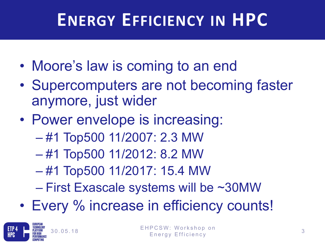# **ENERGY EFFICIENCY IN HPC**

- Moore's law is coming to an end
- Supercomputers are not becoming faster anymore, just wider
- Power envelope is increasing:
	- #1 Top500 11/2007: 2.3 MW
	- #1 Top500 11/2012: 8.2 MW
	- #1 Top500 11/2017: 15.4 MW
	- First Exascale systems will be ~30MW
- Every % increase in efficiency counts!

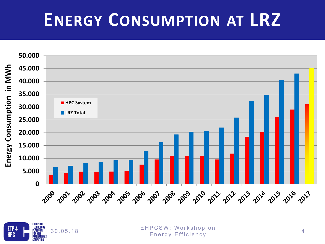#### **ENERGY CONSUMPTION AT LRZ**





30.05.18 EHPCSW: Workshop on Energy Efficiency <sup>4</sup>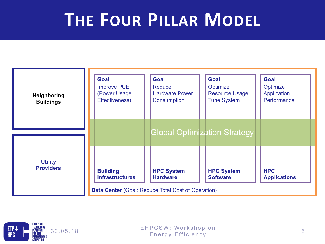#### **THE FOUR PILLAR MODEL**



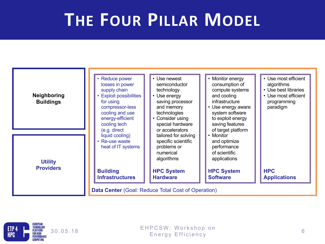#### **THE FOUR PILLAR MODEL**

| <b>Neighboring</b><br><b>Buildings</b><br><b>Utility</b><br><b>Providers</b> | • Reduce power<br>losses in power<br>supply chain<br>• Exploit possibilities<br>for using<br>compressor-less<br>cooling and use<br>energy-efficient<br>cooling tech<br>(e.g. direct | • Monitor energy<br>• Use newest<br>consumption of<br>semiconductor<br>compute systems<br>technology<br>• Use energy<br>and cooling<br>infrastructure<br>saving processor<br>and memory<br>• Use energy aware<br>technologies<br>system software<br>to exploit energy<br>Consider using<br>special hardware<br>saving features<br>or accelerators<br>of target platform | • Use most efficient<br>algorithms<br>• Use best libraries<br>• Use most efficient<br>programming<br>paradigm |
|------------------------------------------------------------------------------|-------------------------------------------------------------------------------------------------------------------------------------------------------------------------------------|-------------------------------------------------------------------------------------------------------------------------------------------------------------------------------------------------------------------------------------------------------------------------------------------------------------------------------------------------------------------------|---------------------------------------------------------------------------------------------------------------|
|                                                                              | liquid cooling)<br>• Re-use waste<br>heat of IT systems<br><b>Building</b><br><b>Infrastructures</b><br><b>Data Center</b> (Goal: Reduce Total Cost of Operation)                   | • Monitor<br>tailored for solving<br>specific scientific<br>and optimize<br>problems or<br>performance<br>of scientific<br>numerical<br>applications<br>algorithms<br><b>HPC System</b><br><b>HPC System</b><br><b>Hardware</b><br><b>Software</b>                                                                                                                      | <b>HPC</b><br><b>Applications</b>                                                                             |

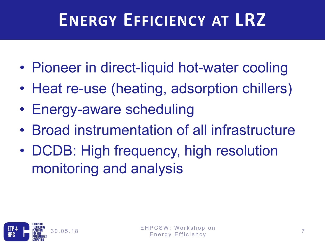### **ENERGY EFFICIENCY AT LRZ**

- Pioneer in direct-liquid hot-water cooling
- Heat re-use (heating, adsorption chillers)
- Energy-aware scheduling
- Broad instrumentation of all infrastructure
- DCDB: High frequency, high resolution monitoring and analysis

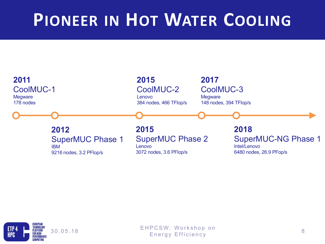#### **PIONEER IN HOT WATER COOLING**



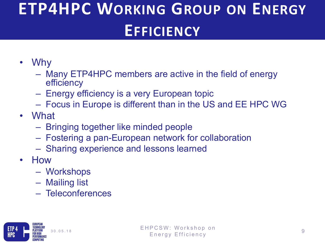#### **ETP4HPC WORKING GROUP ON ENERGY EFFICIENCY**

- Why
	- Many ETP4HPC members are active in the field of energy efficiency
	- Energy efficiency is a very European topic
	- Focus in Europe is different than in the US and EE HPC WG
- What
	- Bringing together like minded people
	- Fostering a pan-European network for collaboration
	- Sharing experience and lessons learned
- How
	- Workshops
	- Mailing list
	- Teleconferences

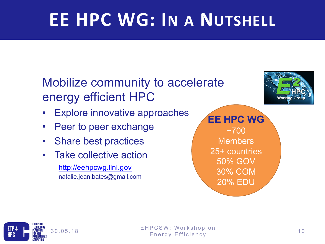# **EE HPC WG: IN A NUTSHELL**

#### Mobilize community to accelerate energy efficient HPC

- Explore innovative approaches
- Peer to peer exchange
- Share best practices
- Take collective action http://eehpcwg.llnl.gov natalie.jean.bates@gmail.com

**EE HPC WG**  $~1$   $~700$ **Members** 25+ countries 50% GOV 30% COM 20% EDU



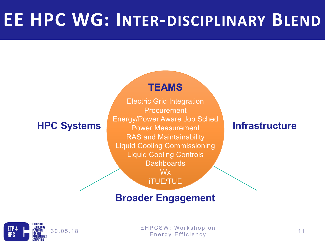#### **EE HPC WG: INTER-DISCIPLINARY BLEND**

#### **TEAMS**

Electric Grid Integration Procurement Energy/Power Aware Job Sched Power Measurement RAS and Maintainability Liquid Cooling Commissioning Liquid Cooling Controls **Dashboards** Wx iTUE/TUE **HPC Systems Infrastructure Infrastructure** 

#### **Broader Engagement**



30.05.18 EHPCSW: Workshop on Energy Efficiency 11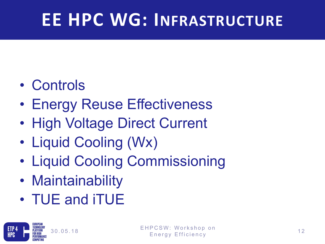# **EE HPC WG: INFRASTRUCTURE**

- Controls
- Energy Reuse Effectiveness
- High Voltage Direct Current
- Liquid Cooling (Wx)
- Liquid Cooling Commissioning
- Maintainability
- TUE and iTUE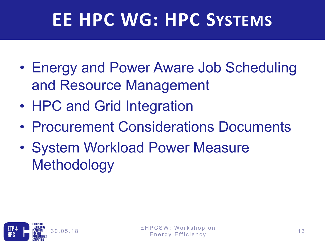# **EE HPC WG: HPC SYSTEMS**

- Energy and Power Aware Job Scheduling and Resource Management
- HPC and Grid Integration
- Procurement Considerations Documents
- System Workload Power Measure **Methodology**

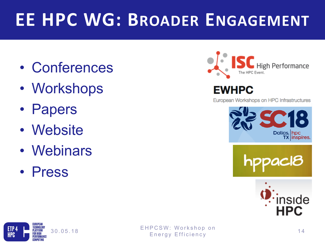## **EE HPC WG: BROADER ENGAGEMENT**

- Conferences
- Workshops
- Papers
- Website
- Webinars
- Press



#### **EWHPC**

European Workshops on HPC Infrastructures









30.05.18 EHPCSW: Workshop on resource workshop on<br>Energy Efficiency 14